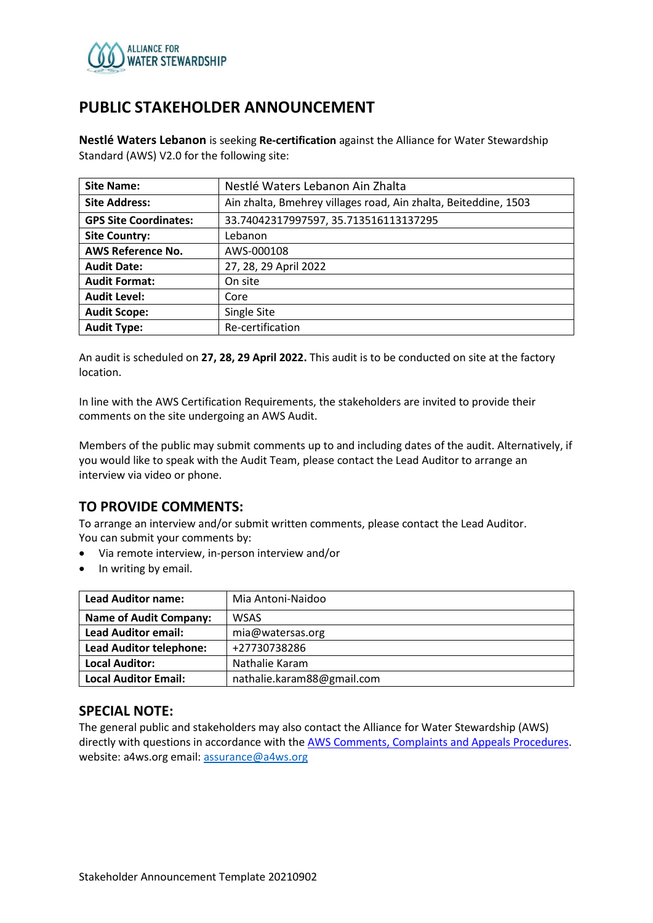

## **PUBLIC STAKEHOLDER ANNOUNCEMENT**

**Nestlé Waters Lebanon** is seeking **Re-certification** against the Alliance for Water Stewardship Standard (AWS) V2.0 for the following site:

| <b>Site Name:</b>            | Nestlé Waters Lebanon Ain Zhalta                                |  |
|------------------------------|-----------------------------------------------------------------|--|
| <b>Site Address:</b>         | Ain zhalta, Bmehrey villages road, Ain zhalta, Beiteddine, 1503 |  |
| <b>GPS Site Coordinates:</b> | 33.74042317997597, 35.713516113137295                           |  |
| <b>Site Country:</b>         | Lebanon                                                         |  |
| <b>AWS Reference No.</b>     | AWS-000108                                                      |  |
| <b>Audit Date:</b>           | 27, 28, 29 April 2022                                           |  |
| <b>Audit Format:</b>         | On site                                                         |  |
| <b>Audit Level:</b>          | Core                                                            |  |
| <b>Audit Scope:</b>          | Single Site                                                     |  |
| <b>Audit Type:</b>           | Re-certification                                                |  |

An audit is scheduled on **27, 28, 29 April 2022.** This audit is to be conducted on site at the factory location.

In line with the AWS Certification Requirements, the stakeholders are invited to provide their comments on the site undergoing an AWS Audit.

Members of the public may submit comments up to and including dates of the audit. Alternatively, if you would like to speak with the Audit Team, please contact the Lead Auditor to arrange an interview via video or phone.

### **TO PROVIDE COMMENTS:**

To arrange an interview and/or submit written comments, please contact the Lead Auditor. You can submit your comments by:

- Via remote interview, in-person interview and/or
- In writing by email.

| <b>Lead Auditor name:</b>      | Mia Antoni-Naidoo          |
|--------------------------------|----------------------------|
| <b>Name of Audit Company:</b>  | <b>WSAS</b>                |
| <b>Lead Auditor email:</b>     | mia@watersas.org           |
| <b>Lead Auditor telephone:</b> | +27730738286               |
| <b>Local Auditor:</b>          | Nathalie Karam             |
| <b>Local Auditor Email:</b>    | nathalie.karam88@gmail.com |

### **SPECIAL NOTE:**

The general public and stakeholders may also contact the Alliance for Water Stewardship (AWS) directly with questions in accordance with th[e AWS Comments, Complaints and Appeals Procedures.](https://a4ws.org/about/comments-complaints-and-appeals/) website: a4ws.org email[: assurance@a4ws.org](mailto:assurance@a4ws.org)